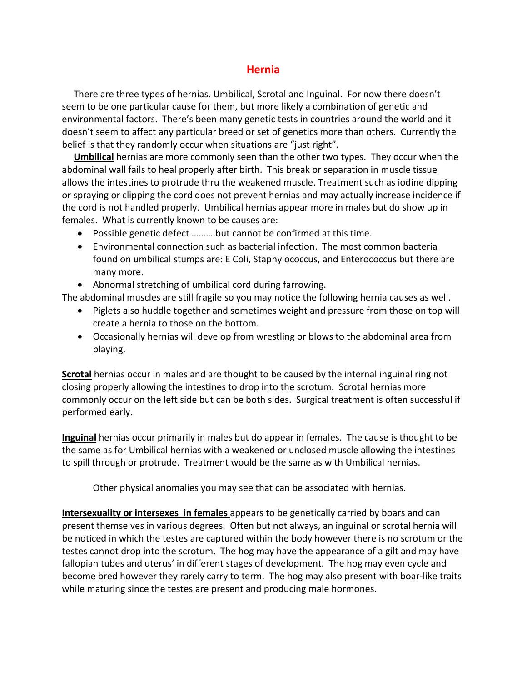## **Hernia**

 There are three types of hernias. Umbilical, Scrotal and Inguinal. For now there doesn't seem to be one particular cause for them, but more likely a combination of genetic and environmental factors. There's been many genetic tests in countries around the world and it doesn't seem to affect any particular breed or set of genetics more than others. Currently the belief is that they randomly occur when situations are "just right".

 **Umbilical** hernias are more commonly seen than the other two types. They occur when the abdominal wall fails to heal properly after birth. This break or separation in muscle tissue allows the intestines to protrude thru the weakened muscle. Treatment such as iodine dipping or spraying or clipping the cord does not prevent hernias and may actually increase incidence if the cord is not handled properly. Umbilical hernias appear more in males but do show up in females. What is currently known to be causes are:

- Possible genetic defect ……….but cannot be confirmed at this time.
- Environmental connection such as bacterial infection. The most common bacteria found on umbilical stumps are: E Coli, Staphylococcus, and Enterococcus but there are many more.
- Abnormal stretching of umbilical cord during farrowing.

The abdominal muscles are still fragile so you may notice the following hernia causes as well.

- Piglets also huddle together and sometimes weight and pressure from those on top will create a hernia to those on the bottom.
- Occasionally hernias will develop from wrestling or blows to the abdominal area from playing.

**Scrotal** hernias occur in males and are thought to be caused by the internal inguinal ring not closing properly allowing the intestines to drop into the scrotum. Scrotal hernias more commonly occur on the left side but can be both sides. Surgical treatment is often successful if performed early.

**Inguinal** hernias occur primarily in males but do appear in females. The cause is thought to be the same as for Umbilical hernias with a weakened or unclosed muscle allowing the intestines to spill through or protrude. Treatment would be the same as with Umbilical hernias.

Other physical anomalies you may see that can be associated with hernias.

**Intersexuality or intersexes in females** appears to be genetically carried by boars and can present themselves in various degrees. Often but not always, an inguinal or scrotal hernia will be noticed in which the testes are captured within the body however there is no scrotum or the testes cannot drop into the scrotum. The hog may have the appearance of a gilt and may have fallopian tubes and uterus' in different stages of development. The hog may even cycle and become bred however they rarely carry to term. The hog may also present with boar-like traits while maturing since the testes are present and producing male hormones.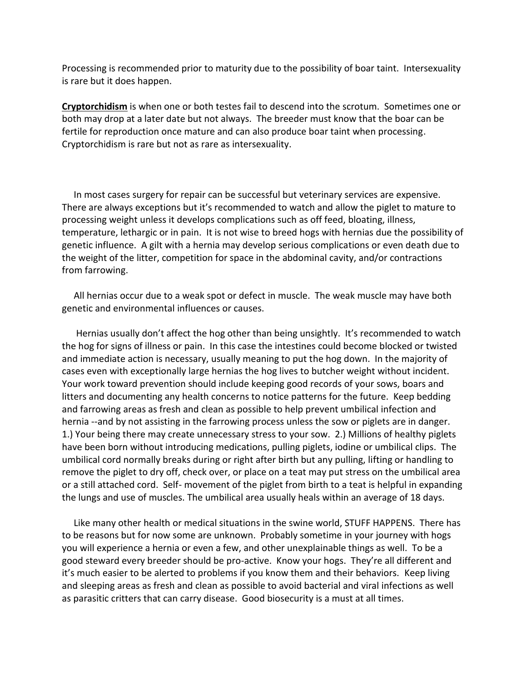Processing is recommended prior to maturity due to the possibility of boar taint. Intersexuality is rare but it does happen.

**Cryptorchidism** is when one or both testes fail to descend into the scrotum. Sometimes one or both may drop at a later date but not always. The breeder must know that the boar can be fertile for reproduction once mature and can also produce boar taint when processing. Cryptorchidism is rare but not as rare as intersexuality.

 In most cases surgery for repair can be successful but veterinary services are expensive. There are always exceptions but it's recommended to watch and allow the piglet to mature to processing weight unless it develops complications such as off feed, bloating, illness, temperature, lethargic or in pain. It is not wise to breed hogs with hernias due the possibility of genetic influence. A gilt with a hernia may develop serious complications or even death due to the weight of the litter, competition for space in the abdominal cavity, and/or contractions from farrowing.

 All hernias occur due to a weak spot or defect in muscle. The weak muscle may have both genetic and environmental influences or causes.

Hernias usually don't affect the hog other than being unsightly. It's recommended to watch the hog for signs of illness or pain. In this case the intestines could become blocked or twisted and immediate action is necessary, usually meaning to put the hog down. In the majority of cases even with exceptionally large hernias the hog lives to butcher weight without incident. Your work toward prevention should include keeping good records of your sows, boars and litters and documenting any health concerns to notice patterns for the future. Keep bedding and farrowing areas as fresh and clean as possible to help prevent umbilical infection and hernia --and by not assisting in the farrowing process unless the sow or piglets are in danger. 1.) Your being there may create unnecessary stress to your sow. 2.) Millions of healthy piglets have been born without introducing medications, pulling piglets, iodine or umbilical clips. The umbilical cord normally breaks during or right after birth but any pulling, lifting or handling to remove the piglet to dry off, check over, or place on a teat may put stress on the umbilical area or a still attached cord. Self- movement of the piglet from birth to a teat is helpful in expanding the lungs and use of muscles. The umbilical area usually heals within an average of 18 days.

 Like many other health or medical situations in the swine world, STUFF HAPPENS. There has to be reasons but for now some are unknown. Probably sometime in your journey with hogs you will experience a hernia or even a few, and other unexplainable things as well. To be a good steward every breeder should be pro-active. Know your hogs. They're all different and it's much easier to be alerted to problems if you know them and their behaviors. Keep living and sleeping areas as fresh and clean as possible to avoid bacterial and viral infections as well as parasitic critters that can carry disease. Good biosecurity is a must at all times.